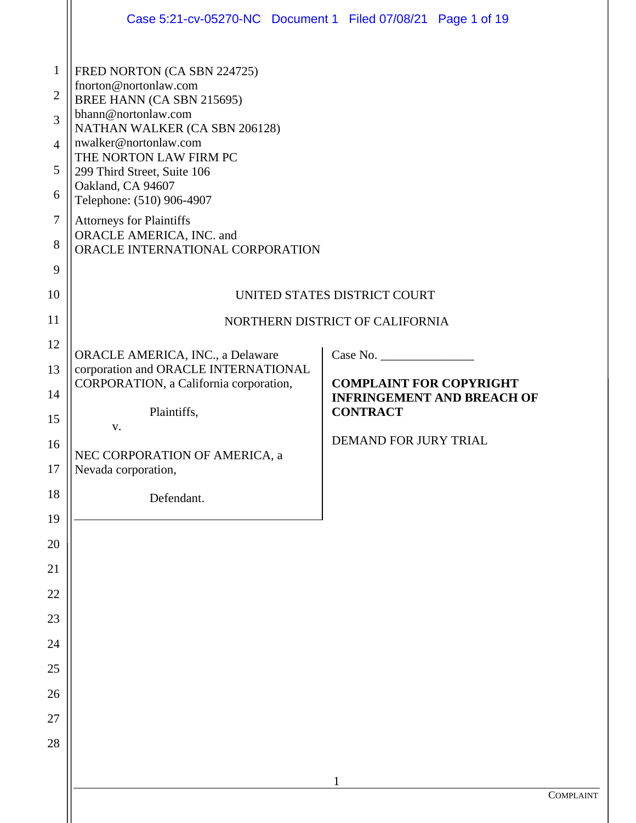|                                                            | Case 5:21-cv-05270-NC Document 1 Filed 07/08/21 Page 1 of 19                                                                                                                                                                |                                                                                        |    |
|------------------------------------------------------------|-----------------------------------------------------------------------------------------------------------------------------------------------------------------------------------------------------------------------------|----------------------------------------------------------------------------------------|----|
| $\mathbf{1}$<br>$\overline{2}$<br>3<br>$\overline{4}$<br>5 | FRED NORTON (CA SBN 224725)<br>fnorton@nortonlaw.com<br>BREE HANN (CA SBN 215695)<br>bhann@nortonlaw.com<br>NATHAN WALKER (CA SBN 206128)<br>nwalker@nortonlaw.com<br>THE NORTON LAW FIRM PC<br>299 Third Street, Suite 106 |                                                                                        |    |
| 6<br>7<br>8                                                | Oakland, CA 94607<br>Telephone: (510) 906-4907<br><b>Attorneys for Plaintiffs</b><br>ORACLE AMERICA, INC. and<br>ORACLE INTERNATIONAL CORPORATION                                                                           |                                                                                        |    |
| 9<br>10                                                    | UNITED STATES DISTRICT COURT                                                                                                                                                                                                |                                                                                        |    |
| 11<br>12<br>13                                             | NORTHERN DISTRICT OF CALIFORNIA<br>ORACLE AMERICA, INC., a Delaware<br>Case No.<br>corporation and ORACLE INTERNATIONAL                                                                                                     |                                                                                        |    |
| 14<br>15                                                   | CORPORATION, a California corporation,<br>Plaintiffs,                                                                                                                                                                       | <b>COMPLAINT FOR COPYRIGHT</b><br><b>INFRINGEMENT AND BREACH OF</b><br><b>CONTRACT</b> |    |
| 16<br>17                                                   | V.<br>NEC CORPORATION OF AMERICA, a<br>Nevada corporation,                                                                                                                                                                  | <b>DEMAND FOR JURY TRIAL</b>                                                           |    |
| 18                                                         | Defendant.                                                                                                                                                                                                                  |                                                                                        |    |
| 19<br>20                                                   |                                                                                                                                                                                                                             |                                                                                        |    |
| 21                                                         |                                                                                                                                                                                                                             |                                                                                        |    |
| 22                                                         |                                                                                                                                                                                                                             |                                                                                        |    |
| 23                                                         |                                                                                                                                                                                                                             |                                                                                        |    |
| 24<br>$25\,$                                               |                                                                                                                                                                                                                             |                                                                                        |    |
| 26                                                         |                                                                                                                                                                                                                             |                                                                                        |    |
| 27                                                         |                                                                                                                                                                                                                             |                                                                                        |    |
| 28                                                         |                                                                                                                                                                                                                             |                                                                                        |    |
|                                                            |                                                                                                                                                                                                                             | $\mathbf{1}$                                                                           |    |
|                                                            |                                                                                                                                                                                                                             |                                                                                        | Co |

II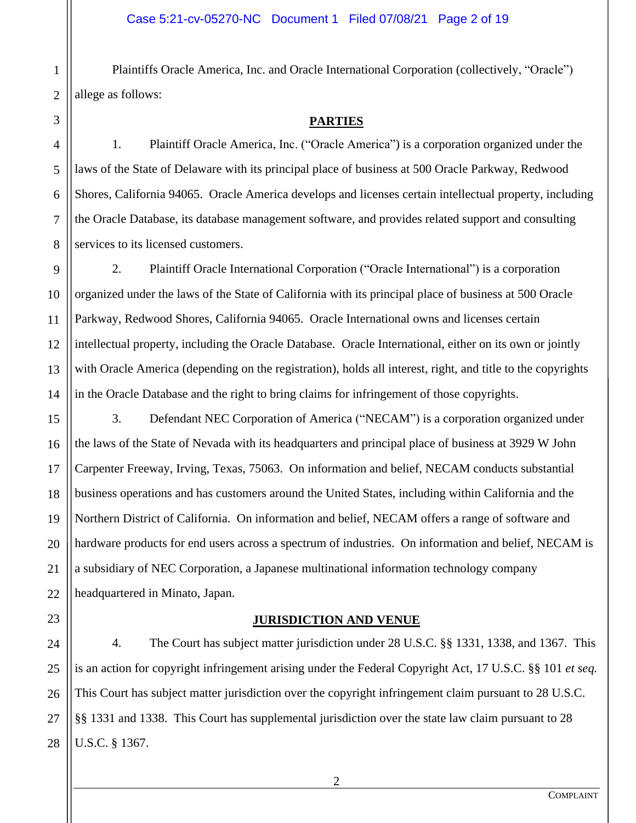Plaintiffs Oracle America, Inc. and Oracle International Corporation (collectively, "Oracle") allege as follows:

**PARTIES**

1. Plaintiff Oracle America, Inc. ("Oracle America") is a corporation organized under the laws of the State of Delaware with its principal place of business at 500 Oracle Parkway, Redwood Shores, California 94065. Oracle America develops and licenses certain intellectual property, including the Oracle Database, its database management software, and provides related support and consulting services to its licensed customers.

2. Plaintiff Oracle International Corporation ("Oracle International") is a corporation organized under the laws of the State of California with its principal place of business at 500 Oracle Parkway, Redwood Shores, California 94065. Oracle International owns and licenses certain intellectual property, including the Oracle Database. Oracle International, either on its own or jointly with Oracle America (depending on the registration), holds all interest, right, and title to the copyrights in the Oracle Database and the right to bring claims for infringement of those copyrights.

3. Defendant NEC Corporation of America ("NECAM") is a corporation organized under the laws of the State of Nevada with its headquarters and principal place of business at 3929 W John Carpenter Freeway, Irving, Texas, 75063. On information and belief, NECAM conducts substantial business operations and has customers around the United States, including within California and the Northern District of California. On information and belief, NECAM offers a range of software and hardware products for end users across a spectrum of industries. On information and belief, NECAM is a subsidiary of NEC Corporation, a Japanese multinational information technology company headquartered in Minato, Japan.

# **JURISDICTION AND VENUE**

4. The Court has subject matter jurisdiction under 28 U.S.C. §§ 1331, 1338, and 1367. This is an action for copyright infringement arising under the Federal Copyright Act, 17 U.S.C. §§ 101 *et seq.* This Court has subject matter jurisdiction over the copyright infringement claim pursuant to 28 U.S.C. §§ 1331 and 1338. This Court has supplemental jurisdiction over the state law claim pursuant to 28 U.S.C. § 1367.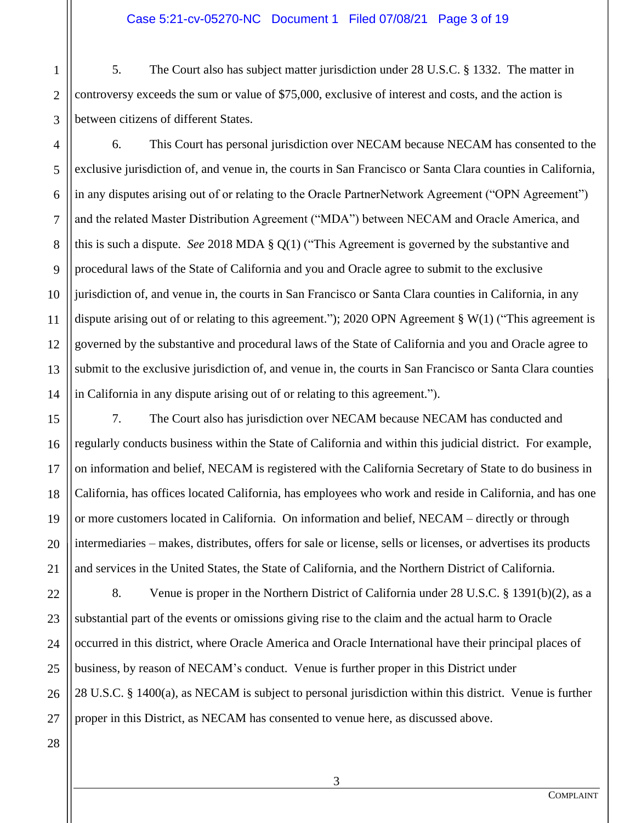#### Case 5:21-cv-05270-NC Document 1 Filed 07/08/21 Page 3 of 19

3 5. The Court also has subject matter jurisdiction under 28 U.S.C. § 1332. The matter in controversy exceeds the sum or value of \$75,000, exclusive of interest and costs, and the action is between citizens of different States.

4 5 6 10 12 13 14 6. This Court has personal jurisdiction over NECAM because NECAM has consented to the exclusive jurisdiction of, and venue in, the courts in San Francisco or Santa Clara counties in California, in any disputes arising out of or relating to the Oracle PartnerNetwork Agreement ("OPN Agreement") and the related Master Distribution Agreement ("MDA") between NECAM and Oracle America, and this is such a dispute. *See* 2018 MDA § Q(1) ("This Agreement is governed by the substantive and procedural laws of the State of California and you and Oracle agree to submit to the exclusive jurisdiction of, and venue in, the courts in San Francisco or Santa Clara counties in California, in any dispute arising out of or relating to this agreement."); 2020 OPN Agreement § W(1) ("This agreement is governed by the substantive and procedural laws of the State of California and you and Oracle agree to submit to the exclusive jurisdiction of, and venue in, the courts in San Francisco or Santa Clara counties in California in any dispute arising out of or relating to this agreement.").

7. The Court also has jurisdiction over NECAM because NECAM has conducted and regularly conducts business within the State of California and within this judicial district. For example, on information and belief, NECAM is registered with the California Secretary of State to do business in California, has offices located California, has employees who work and reside in California, and has one or more customers located in California. On information and belief, NECAM – directly or through intermediaries – makes, distributes, offers for sale or license, sells or licenses, or advertises its products and services in the United States, the State of California, and the Northern District of California.

8. Venue is proper in the Northern District of California under 28 U.S.C. § 1391(b)(2), as a substantial part of the events or omissions giving rise to the claim and the actual harm to Oracle occurred in this district, where Oracle America and Oracle International have their principal places of business, by reason of NECAM's conduct. Venue is further proper in this District under 28 U.S.C. § 1400(a), as NECAM is subject to personal jurisdiction within this district. Venue is further proper in this District, as NECAM has consented to venue here, as discussed above.

1

2

7

8

9

11

15

16

17

18

19

**COMPLAINT**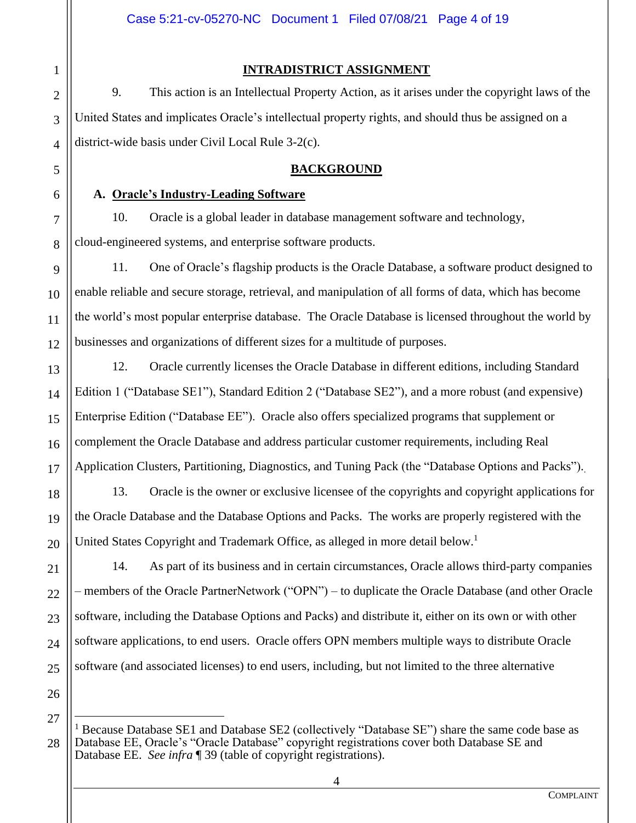**INTRADISTRICT ASSIGNMENT**

9. This action is an Intellectual Property Action, as it arises under the copyright laws of the United States and implicates Oracle's intellectual property rights, and should thus be assigned on a district-wide basis under Civil Local Rule 3-2(c).

## **BACKGROUND**

### **A. Oracle's Industry-Leading Software**

10. Oracle is a global leader in database management software and technology, cloud-engineered systems, and enterprise software products.

11. One of Oracle's flagship products is the Oracle Database, a software product designed to enable reliable and secure storage, retrieval, and manipulation of all forms of data, which has become the world's most popular enterprise database. The Oracle Database is licensed throughout the world by businesses and organizations of different sizes for a multitude of purposes.

12. Oracle currently licenses the Oracle Database in different editions, including Standard Edition 1 ("Database SE1"), Standard Edition 2 ("Database SE2"), and a more robust (and expensive) Enterprise Edition ("Database EE"). Oracle also offers specialized programs that supplement or complement the Oracle Database and address particular customer requirements, including Real Application Clusters, Partitioning, Diagnostics, and Tuning Pack (the "Database Options and Packs")..

13. Oracle is the owner or exclusive licensee of the copyrights and copyright applications for the Oracle Database and the Database Options and Packs. The works are properly registered with the United States Copyright and Trademark Office, as alleged in more detail below.<sup>1</sup>

14. As part of its business and in certain circumstances, Oracle allows third-party companies – members of the Oracle PartnerNetwork ("OPN") – to duplicate the Oracle Database (and other Oracle software, including the Database Options and Packs) and distribute it, either on its own or with other software applications, to end users. Oracle offers OPN members multiple ways to distribute Oracle software (and associated licenses) to end users, including, but not limited to the three alternative

1

2

3

4

5

6

7

8

9

10

11

12

13

14

15

16

17

18

19

20

21

22

<sup>28</sup> <sup>1</sup> Because Database SE1 and Database SE2 (collectively "Database SE") share the same code base as Database EE, Oracle's "Oracle Database" copyright registrations cover both Database SE and Database EE. *See infra* ¶ 39 (table of copyright registrations).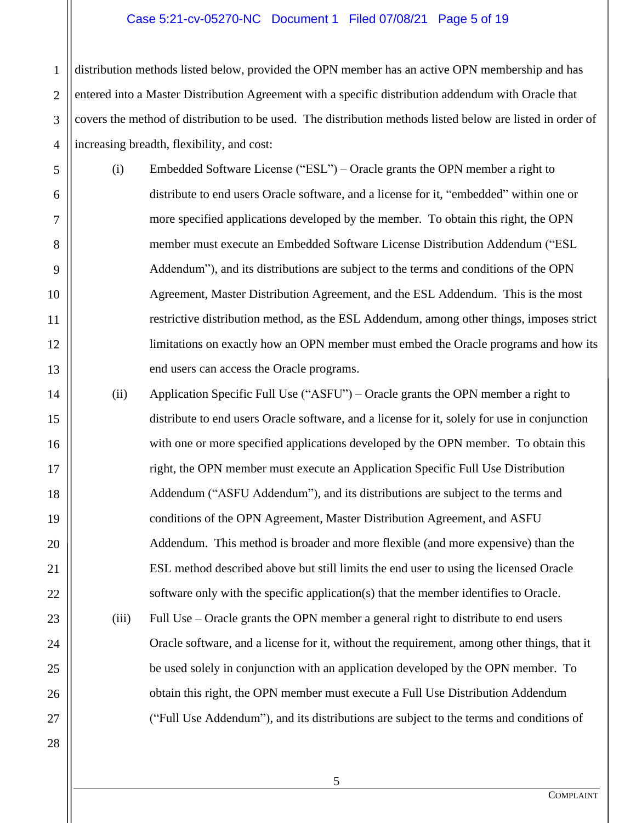#### Case 5:21-cv-05270-NC Document 1 Filed 07/08/21 Page 5 of 19

1 2 3 4 distribution methods listed below, provided the OPN member has an active OPN membership and has entered into a Master Distribution Agreement with a specific distribution addendum with Oracle that covers the method of distribution to be used. The distribution methods listed below are listed in order of increasing breadth, flexibility, and cost:

(i) Embedded Software License ("ESL") – Oracle grants the OPN member a right to distribute to end users Oracle software, and a license for it, "embedded" within one or more specified applications developed by the member. To obtain this right, the OPN member must execute an Embedded Software License Distribution Addendum ("ESL Addendum"), and its distributions are subject to the terms and conditions of the OPN Agreement, Master Distribution Agreement, and the ESL Addendum. This is the most restrictive distribution method, as the ESL Addendum, among other things, imposes strict limitations on exactly how an OPN member must embed the Oracle programs and how its end users can access the Oracle programs.

(ii) Application Specific Full Use ("ASFU") – Oracle grants the OPN member a right to distribute to end users Oracle software, and a license for it, solely for use in conjunction with one or more specified applications developed by the OPN member. To obtain this right, the OPN member must execute an Application Specific Full Use Distribution Addendum ("ASFU Addendum"), and its distributions are subject to the terms and conditions of the OPN Agreement, Master Distribution Agreement, and ASFU Addendum. This method is broader and more flexible (and more expensive) than the ESL method described above but still limits the end user to using the licensed Oracle software only with the specific application(s) that the member identifies to Oracle.

- (iii) Full Use Oracle grants the OPN member a general right to distribute to end users Oracle software, and a license for it, without the requirement, among other things, that it be used solely in conjunction with an application developed by the OPN member. To obtain this right, the OPN member must execute a Full Use Distribution Addendum ("Full Use Addendum"), and its distributions are subject to the terms and conditions of
- 27 28

5

6

7

8

9

10

11

12

13

14

15

16

17

18

19

20

21

22

23

24

25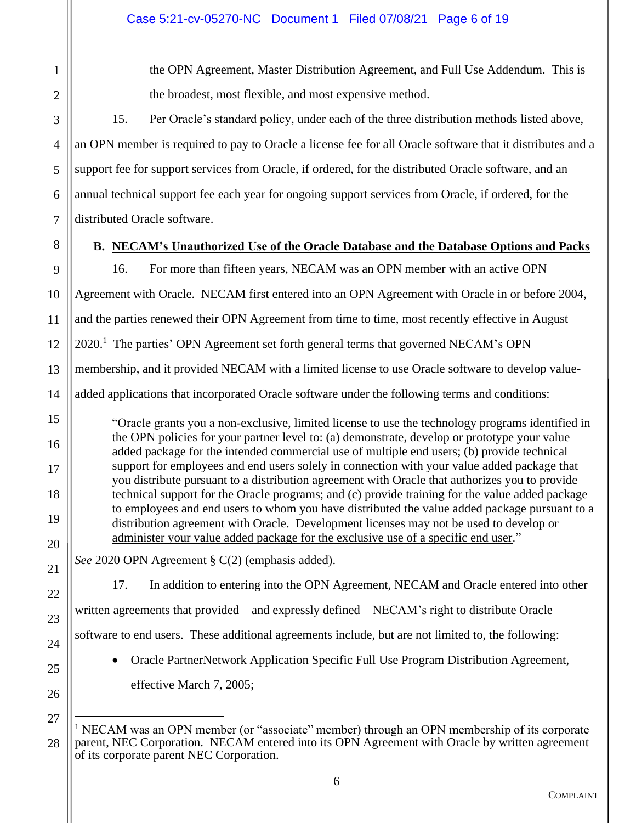1 2

3

4

5

6

7

the OPN Agreement, Master Distribution Agreement, and Full Use Addendum. This is the broadest, most flexible, and most expensive method.

15. Per Oracle's standard policy, under each of the three distribution methods listed above, an OPN member is required to pay to Oracle a license fee for all Oracle software that it distributes and a support fee for support services from Oracle, if ordered, for the distributed Oracle software, and an annual technical support fee each year for ongoing support services from Oracle, if ordered, for the distributed Oracle software.

8 9

15

16

17

18

19

20

21

22

23

24

25

26

# **B. NECAM's Unauthorized Use of the Oracle Database and the Database Options and Packs**

16. For more than fifteen years, NECAM was an OPN member with an active OPN

10 Agreement with Oracle. NECAM first entered into an OPN Agreement with Oracle in or before 2004,

11 and the parties renewed their OPN Agreement from time to time, most recently effective in August

12 2020.<sup>1</sup> The parties' OPN Agreement set forth general terms that governed NECAM's OPN

13 membership, and it provided NECAM with a limited license to use Oracle software to develop value-

14 added applications that incorporated Oracle software under the following terms and conditions:

"Oracle grants you a non-exclusive, limited license to use the technology programs identified in the OPN policies for your partner level to: (a) demonstrate, develop or prototype your value added package for the intended commercial use of multiple end users; (b) provide technical support for employees and end users solely in connection with your value added package that you distribute pursuant to a distribution agreement with Oracle that authorizes you to provide technical support for the Oracle programs; and (c) provide training for the value added package to employees and end users to whom you have distributed the value added package pursuant to a distribution agreement with Oracle. Development licenses may not be used to develop or administer your value added package for the exclusive use of a specific end user."

*See* 2020 OPN Agreement § C(2) (emphasis added).

17. In addition to entering into the OPN Agreement, NECAM and Oracle entered into other

written agreements that provided – and expressly defined – NECAM's right to distribute Oracle

software to end users. These additional agreements include, but are not limited to, the following:

• Oracle PartnerNetwork Application Specific Full Use Program Distribution Agreement, effective March 7, 2005;

<sup>28</sup>  $<sup>1</sup>$  NECAM was an OPN member (or "associate" member) through an OPN membership of its corporate</sup> parent, NEC Corporation. NECAM entered into its OPN Agreement with Oracle by written agreement of its corporate parent NEC Corporation.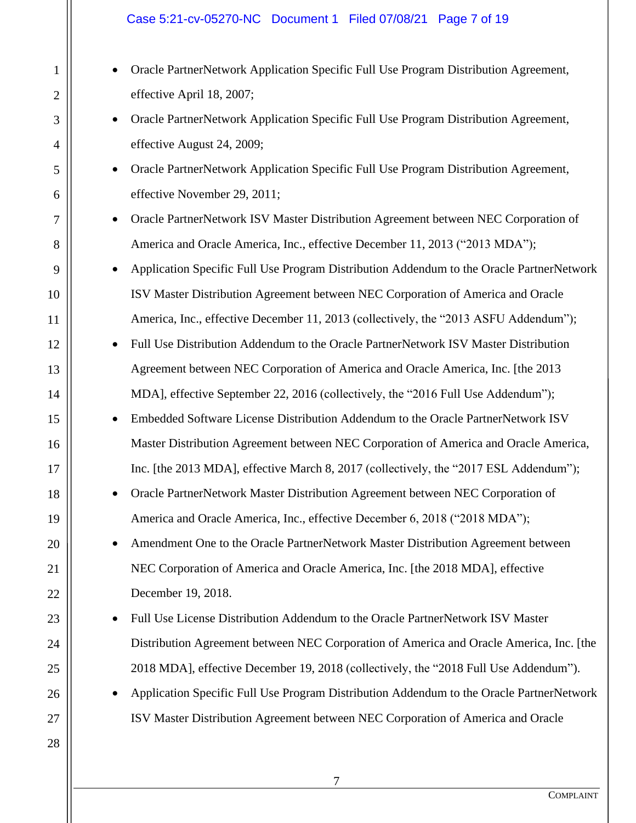### Case 5:21-cv-05270-NC Document 1 Filed 07/08/21 Page 7 of 19

1

2

3

4

5

6

7

8

9

10

11

12

13

14

15

16

17

18

19

20

21

22

23

24

25

26

27

28

• Oracle PartnerNetwork Application Specific Full Use Program Distribution Agreement, effective April 18, 2007; • Oracle PartnerNetwork Application Specific Full Use Program Distribution Agreement, effective August 24, 2009; • Oracle PartnerNetwork Application Specific Full Use Program Distribution Agreement, effective November 29, 2011; • Oracle PartnerNetwork ISV Master Distribution Agreement between NEC Corporation of America and Oracle America, Inc., effective December 11, 2013 ("2013 MDA"); • Application Specific Full Use Program Distribution Addendum to the Oracle PartnerNetwork ISV Master Distribution Agreement between NEC Corporation of America and Oracle America, Inc., effective December 11, 2013 (collectively, the "2013 ASFU Addendum"); • Full Use Distribution Addendum to the Oracle PartnerNetwork ISV Master Distribution Agreement between NEC Corporation of America and Oracle America, Inc. [the 2013 MDA], effective September 22, 2016 (collectively, the "2016 Full Use Addendum"); • Embedded Software License Distribution Addendum to the Oracle PartnerNetwork ISV Master Distribution Agreement between NEC Corporation of America and Oracle America, Inc. [the 2013 MDA], effective March 8, 2017 (collectively, the "2017 ESL Addendum"); • Oracle PartnerNetwork Master Distribution Agreement between NEC Corporation of America and Oracle America, Inc., effective December 6, 2018 ("2018 MDA"); • Amendment One to the Oracle PartnerNetwork Master Distribution Agreement between NEC Corporation of America and Oracle America, Inc. [the 2018 MDA], effective December 19, 2018. • Full Use License Distribution Addendum to the Oracle PartnerNetwork ISV Master Distribution Agreement between NEC Corporation of America and Oracle America, Inc. [the 2018 MDA], effective December 19, 2018 (collectively, the "2018 Full Use Addendum"). • Application Specific Full Use Program Distribution Addendum to the Oracle PartnerNetwork ISV Master Distribution Agreement between NEC Corporation of America and Oracle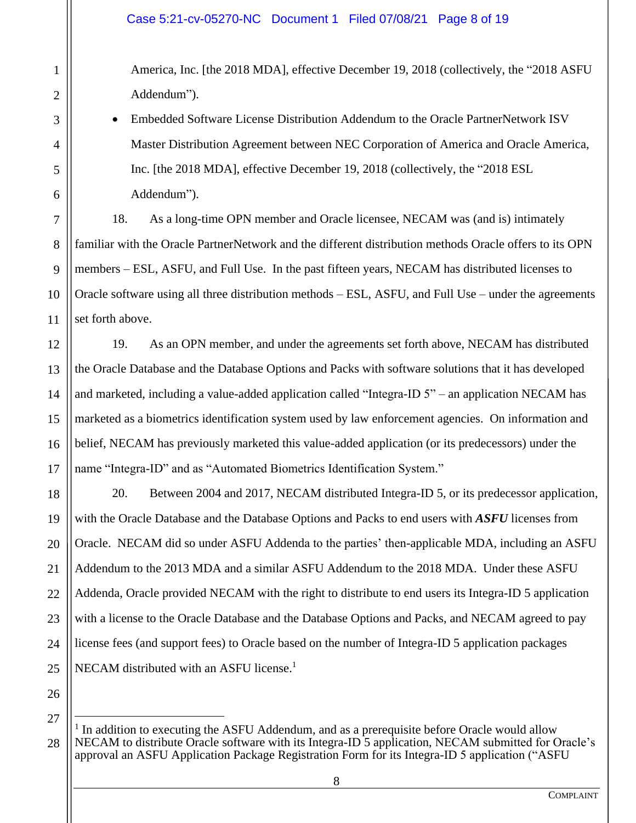America, Inc. [the 2018 MDA], effective December 19, 2018 (collectively, the "2018 ASFU Addendum").

• Embedded Software License Distribution Addendum to the Oracle PartnerNetwork ISV Master Distribution Agreement between NEC Corporation of America and Oracle America, Inc. [the 2018 MDA], effective December 19, 2018 (collectively, the "2018 ESL Addendum").

18. As a long-time OPN member and Oracle licensee, NECAM was (and is) intimately familiar with the Oracle PartnerNetwork and the different distribution methods Oracle offers to its OPN members – ESL, ASFU, and Full Use. In the past fifteen years, NECAM has distributed licenses to Oracle software using all three distribution methods – ESL, ASFU, and Full Use – under the agreements set forth above.

19. As an OPN member, and under the agreements set forth above, NECAM has distributed the Oracle Database and the Database Options and Packs with software solutions that it has developed and marketed, including a value-added application called "Integra-ID 5" – an application NECAM has marketed as a biometrics identification system used by law enforcement agencies. On information and belief, NECAM has previously marketed this value-added application (or its predecessors) under the name "Integra-ID" and as "Automated Biometrics Identification System."

20. Between 2004 and 2017, NECAM distributed Integra-ID 5, or its predecessor application, with the Oracle Database and the Database Options and Packs to end users with *ASFU* licenses from Oracle. NECAM did so under ASFU Addenda to the parties' then-applicable MDA, including an ASFU Addendum to the 2013 MDA and a similar ASFU Addendum to the 2018 MDA. Under these ASFU Addenda, Oracle provided NECAM with the right to distribute to end users its Integra-ID 5 application with a license to the Oracle Database and the Database Options and Packs, and NECAM agreed to pay license fees (and support fees) to Oracle based on the number of Integra-ID 5 application packages NECAM distributed with an ASFU license.<sup>1</sup>

26

27

1

2

3

4

5

6

7

8

9

10

11

12

13

14

15

16

17

18

19

20

21

22

23

24

<sup>28</sup> <sup>1</sup> In addition to executing the ASFU Addendum, and as a prerequisite before Oracle would allow NECAM to distribute Oracle software with its Integra-ID 5 application, NECAM submitted for Oracle's approval an ASFU Application Package Registration Form for its Integra-ID 5 application ("ASFU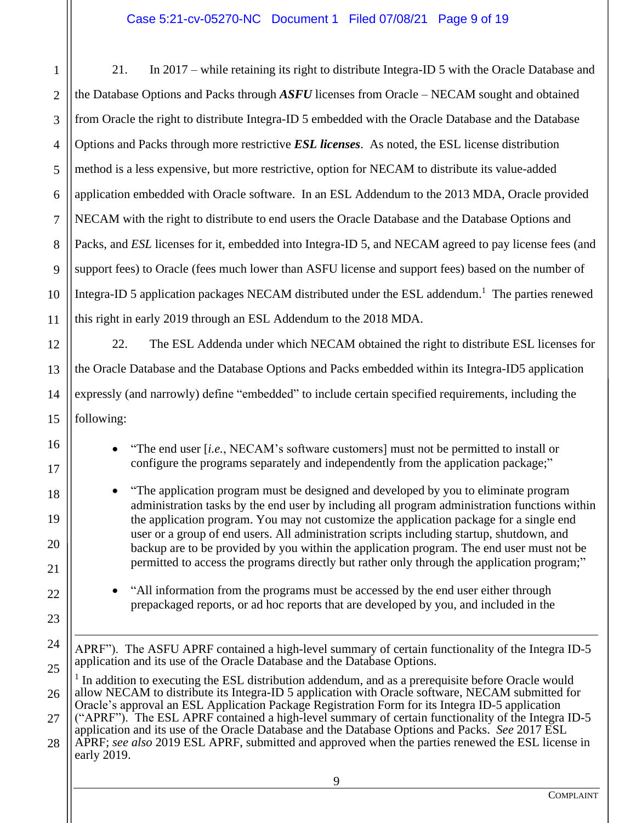9 1 2 3 4 5 6 7 8 9 10 11 12 13 14 15 16 17 18 19 20 21 22 23 24 25 26 27 28 21. In 2017 – while retaining its right to distribute Integra-ID 5 with the Oracle Database and the Database Options and Packs through *ASFU* licenses from Oracle – NECAM sought and obtained from Oracle the right to distribute Integra-ID 5 embedded with the Oracle Database and the Database Options and Packs through more restrictive *ESL licenses*. As noted, the ESL license distribution method is a less expensive, but more restrictive, option for NECAM to distribute its value-added application embedded with Oracle software. In an ESL Addendum to the 2013 MDA, Oracle provided NECAM with the right to distribute to end users the Oracle Database and the Database Options and Packs, and *ESL* licenses for it, embedded into Integra-ID 5, and NECAM agreed to pay license fees (and support fees) to Oracle (fees much lower than ASFU license and support fees) based on the number of Integra-ID 5 application packages NECAM distributed under the ESL addendum.<sup>1</sup> The parties renewed this right in early 2019 through an ESL Addendum to the 2018 MDA. 22. The ESL Addenda under which NECAM obtained the right to distribute ESL licenses for the Oracle Database and the Database Options and Packs embedded within its Integra-ID5 application expressly (and narrowly) define "embedded" to include certain specified requirements, including the following: • "The end user [*i.e.*, NECAM's software customers] must not be permitted to install or configure the programs separately and independently from the application package;" • "The application program must be designed and developed by you to eliminate program administration tasks by the end user by including all program administration functions within the application program. You may not customize the application package for a single end user or a group of end users. All administration scripts including startup, shutdown, and backup are to be provided by you within the application program. The end user must not be permitted to access the programs directly but rather only through the application program;" • "All information from the programs must be accessed by the end user either through prepackaged reports, or ad hoc reports that are developed by you, and included in the APRF"). The ASFU APRF contained a high-level summary of certain functionality of the Integra ID-5 application and its use of the Oracle Database and the Database Options. <sup>1</sup> In addition to executing the ESL distribution addendum, and as a prerequisite before Oracle would allow NECAM to distribute its Integra-ID 5 application with Oracle software, NECAM submitted for Oracle's approval an ESL Application Package Registration Form for its Integra ID-5 application ("APRF"). The ESL APRF contained a high-level summary of certain functionality of the Integra ID-5 application and its use of the Oracle Database and the Database Options and Packs. *See* 2017 ESL APRF; *see also* 2019 ESL APRF, submitted and approved when the parties renewed the ESL license in early 2019.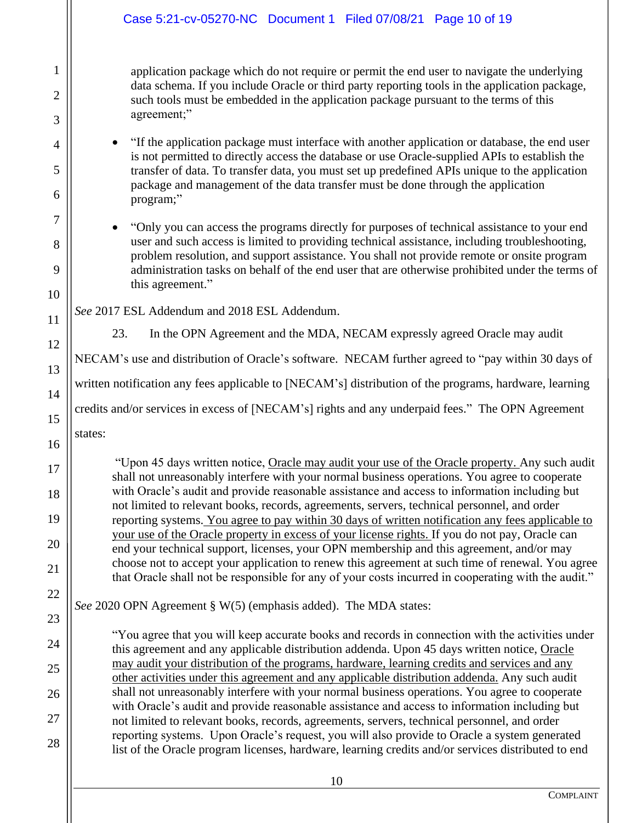|                          | Case 5:21-cv-05270-NC Document 1 Filed 07/08/21 Page 10 of 19                                                                                                                                                                                                                                                                                                                                                     |  |  |
|--------------------------|-------------------------------------------------------------------------------------------------------------------------------------------------------------------------------------------------------------------------------------------------------------------------------------------------------------------------------------------------------------------------------------------------------------------|--|--|
| 1<br>$\overline{2}$<br>3 | application package which do not require or permit the end user to navigate the underlying<br>data schema. If you include Oracle or third party reporting tools in the application package,<br>such tools must be embedded in the application package pursuant to the terms of this<br>agreement;"                                                                                                                |  |  |
| 4<br>5<br>6              | "If the application package must interface with another application or database, the end user<br>$\bullet$<br>is not permitted to directly access the database or use Oracle-supplied APIs to establish the<br>transfer of data. To transfer data, you must set up predefined APIs unique to the application<br>package and management of the data transfer must be done through the application<br>program;"     |  |  |
| 7<br>8<br>9<br>10        | "Only you can access the programs directly for purposes of technical assistance to your end<br>user and such access is limited to providing technical assistance, including troubleshooting,<br>problem resolution, and support assistance. You shall not provide remote or onsite program<br>administration tasks on behalf of the end user that are otherwise prohibited under the terms of<br>this agreement." |  |  |
| 11                       | See 2017 ESL Addendum and 2018 ESL Addendum.                                                                                                                                                                                                                                                                                                                                                                      |  |  |
| 12                       | 23.<br>In the OPN Agreement and the MDA, NECAM expressly agreed Oracle may audit                                                                                                                                                                                                                                                                                                                                  |  |  |
| 13                       | NECAM's use and distribution of Oracle's software. NECAM further agreed to "pay within 30 days of                                                                                                                                                                                                                                                                                                                 |  |  |
| 14                       | written notification any fees applicable to [NECAM's] distribution of the programs, hardware, learning                                                                                                                                                                                                                                                                                                            |  |  |
| 15                       | credits and/or services in excess of [NECAM's] rights and any underpaid fees." The OPN Agreement                                                                                                                                                                                                                                                                                                                  |  |  |
| 16                       | states:                                                                                                                                                                                                                                                                                                                                                                                                           |  |  |
| 17                       | "Upon 45 days written notice, Oracle may audit your use of the Oracle property. Any such audit                                                                                                                                                                                                                                                                                                                    |  |  |
| 18                       | shall not unreasonably interfere with your normal business operations. You agree to cooperate<br>with Oracle's audit and provide reasonable assistance and access to information including but                                                                                                                                                                                                                    |  |  |
| 19                       | not limited to relevant books, records, agreements, servers, technical personnel, and order                                                                                                                                                                                                                                                                                                                       |  |  |
| 20                       | reporting systems. You agree to pay within 30 days of written notification any fees applicable to<br>your use of the Oracle property in excess of your license rights. If you do not pay, Oracle can                                                                                                                                                                                                              |  |  |
| 21                       | end your technical support, licenses, your OPN membership and this agreement, and/or may<br>choose not to accept your application to renew this agreement at such time of renewal. You agree                                                                                                                                                                                                                      |  |  |
| 22                       | that Oracle shall not be responsible for any of your costs incurred in cooperating with the audit."                                                                                                                                                                                                                                                                                                               |  |  |
| 23                       | See 2020 OPN Agreement § W(5) (emphasis added). The MDA states:                                                                                                                                                                                                                                                                                                                                                   |  |  |
| 24                       | "You agree that you will keep accurate books and records in connection with the activities under                                                                                                                                                                                                                                                                                                                  |  |  |
|                          | this agreement and any applicable distribution addenda. Upon 45 days written notice, Oracle<br>may audit your distribution of the programs, hardware, learning credits and services and any                                                                                                                                                                                                                       |  |  |
| 25                       | other activities under this agreement and any applicable distribution addenda. Any such audit                                                                                                                                                                                                                                                                                                                     |  |  |
| 26                       | shall not unreasonably interfere with your normal business operations. You agree to cooperate<br>with Oracle's audit and provide reasonable assistance and access to information including but                                                                                                                                                                                                                    |  |  |
| 27                       | not limited to relevant books, records, agreements, servers, technical personnel, and order<br>reporting systems. Upon Oracle's request, you will also provide to Oracle a system generated                                                                                                                                                                                                                       |  |  |
| 28                       | list of the Oracle program licenses, hardware, learning credits and/or services distributed to end                                                                                                                                                                                                                                                                                                                |  |  |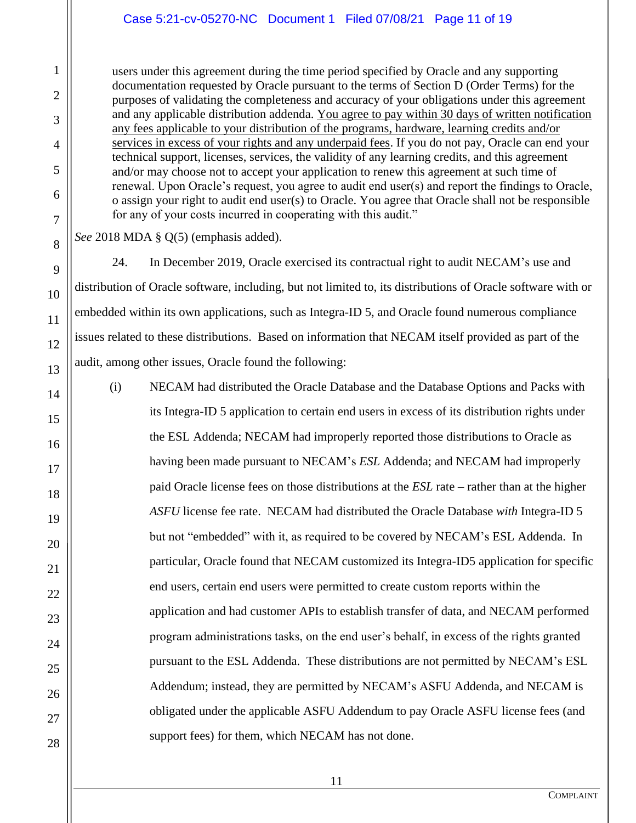### Case 5:21-cv-05270-NC Document 1 Filed 07/08/21 Page 11 of 19

users under this agreement during the time period specified by Oracle and any supporting documentation requested by Oracle pursuant to the terms of Section D (Order Terms) for the purposes of validating the completeness and accuracy of your obligations under this agreement and any applicable distribution addenda. You agree to pay within 30 days of written notification any fees applicable to your distribution of the programs, hardware, learning credits and/or services in excess of your rights and any underpaid fees. If you do not pay, Oracle can end your technical support, licenses, services, the validity of any learning credits, and this agreement and/or may choose not to accept your application to renew this agreement at such time of renewal. Upon Oracle's request, you agree to audit end user(s) and report the findings to Oracle, o assign your right to audit end user(s) to Oracle. You agree that Oracle shall not be responsible for any of your costs incurred in cooperating with this audit."

*See* 2018 MDA § Q(5) (emphasis added).

1

2

3

4

5

6

7

8

9

10

11

12

13

14

15

16

17

18

19

20

21

22

23

24

25

26

27

28

24. In December 2019, Oracle exercised its contractual right to audit NECAM's use and distribution of Oracle software, including, but not limited to, its distributions of Oracle software with or embedded within its own applications, such as Integra-ID 5, and Oracle found numerous compliance issues related to these distributions. Based on information that NECAM itself provided as part of the audit, among other issues, Oracle found the following:

(i) NECAM had distributed the Oracle Database and the Database Options and Packs with its Integra-ID 5 application to certain end users in excess of its distribution rights under the ESL Addenda; NECAM had improperly reported those distributions to Oracle as having been made pursuant to NECAM's *ESL* Addenda; and NECAM had improperly paid Oracle license fees on those distributions at the *ESL* rate – rather than at the higher *ASFU* license fee rate. NECAM had distributed the Oracle Database *with* Integra-ID 5 but not "embedded" with it, as required to be covered by NECAM's ESL Addenda. In particular, Oracle found that NECAM customized its Integra-ID5 application for specific end users, certain end users were permitted to create custom reports within the application and had customer APIs to establish transfer of data, and NECAM performed program administrations tasks, on the end user's behalf, in excess of the rights granted pursuant to the ESL Addenda. These distributions are not permitted by NECAM's ESL Addendum; instead, they are permitted by NECAM's ASFU Addenda, and NECAM is obligated under the applicable ASFU Addendum to pay Oracle ASFU license fees (and support fees) for them, which NECAM has not done.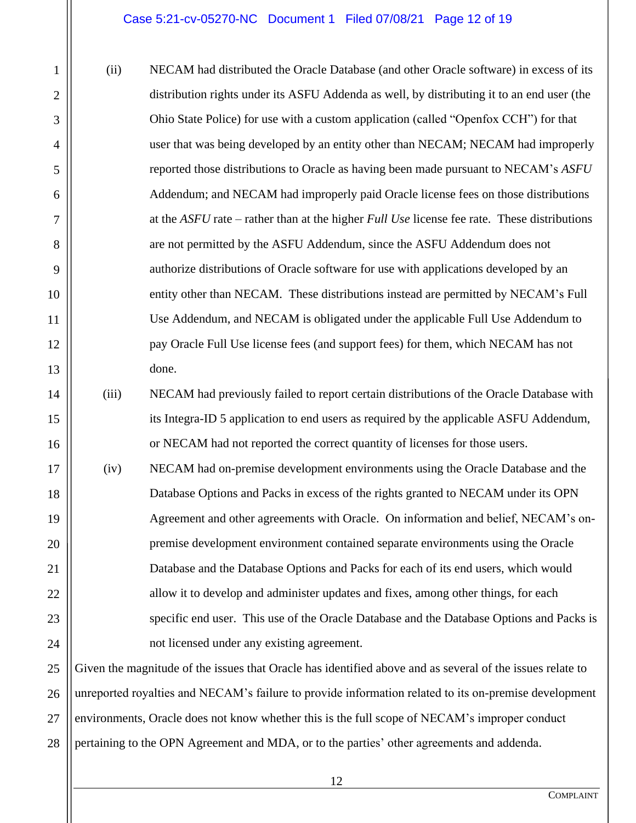1

2

3

4

5

6

7

8

9

10

11

12

13

14

15

16

17

18

19

20

21

22

23

24

(ii) NECAM had distributed the Oracle Database (and other Oracle software) in excess of its distribution rights under its ASFU Addenda as well, by distributing it to an end user (the Ohio State Police) for use with a custom application (called "Openfox CCH") for that user that was being developed by an entity other than NECAM; NECAM had improperly reported those distributions to Oracle as having been made pursuant to NECAM's *ASFU*  Addendum; and NECAM had improperly paid Oracle license fees on those distributions at the *ASFU* rate – rather than at the higher *Full Use* license fee rate. These distributions are not permitted by the ASFU Addendum, since the ASFU Addendum does not authorize distributions of Oracle software for use with applications developed by an entity other than NECAM. These distributions instead are permitted by NECAM's Full Use Addendum, and NECAM is obligated under the applicable Full Use Addendum to pay Oracle Full Use license fees (and support fees) for them, which NECAM has not done.

(iii) NECAM had previously failed to report certain distributions of the Oracle Database with its Integra-ID 5 application to end users as required by the applicable ASFU Addendum, or NECAM had not reported the correct quantity of licenses for those users.

(iv) NECAM had on-premise development environments using the Oracle Database and the Database Options and Packs in excess of the rights granted to NECAM under its OPN Agreement and other agreements with Oracle. On information and belief, NECAM's onpremise development environment contained separate environments using the Oracle Database and the Database Options and Packs for each of its end users, which would allow it to develop and administer updates and fixes, among other things, for each specific end user. This use of the Oracle Database and the Database Options and Packs is not licensed under any existing agreement.

25 26 27 28 Given the magnitude of the issues that Oracle has identified above and as several of the issues relate to unreported royalties and NECAM's failure to provide information related to its on-premise development environments, Oracle does not know whether this is the full scope of NECAM's improper conduct pertaining to the OPN Agreement and MDA, or to the parties' other agreements and addenda.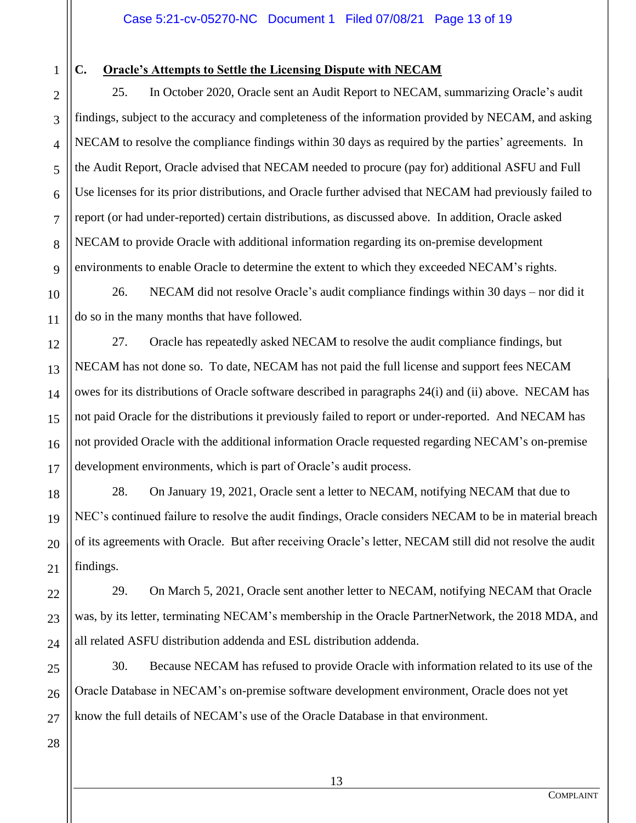1 2

3

4

5

6

7

8

9

10

11

12

13

14

15

16

17

18

19

20

21

22

23

24

# **C. Oracle's Attempts to Settle the Licensing Dispute with NECAM**

25. In October 2020, Oracle sent an Audit Report to NECAM, summarizing Oracle's audit findings, subject to the accuracy and completeness of the information provided by NECAM, and asking NECAM to resolve the compliance findings within 30 days as required by the parties' agreements. In the Audit Report, Oracle advised that NECAM needed to procure (pay for) additional ASFU and Full Use licenses for its prior distributions, and Oracle further advised that NECAM had previously failed to report (or had under-reported) certain distributions, as discussed above. In addition, Oracle asked NECAM to provide Oracle with additional information regarding its on-premise development environments to enable Oracle to determine the extent to which they exceeded NECAM's rights.

26. NECAM did not resolve Oracle's audit compliance findings within 30 days – nor did it do so in the many months that have followed.

27. Oracle has repeatedly asked NECAM to resolve the audit compliance findings, but NECAM has not done so. To date, NECAM has not paid the full license and support fees NECAM owes for its distributions of Oracle software described in paragraphs 24(i) and (ii) above. NECAM has not paid Oracle for the distributions it previously failed to report or under-reported. And NECAM has not provided Oracle with the additional information Oracle requested regarding NECAM's on-premise development environments, which is part of Oracle's audit process.

28. On January 19, 2021, Oracle sent a letter to NECAM, notifying NECAM that due to NEC's continued failure to resolve the audit findings, Oracle considers NECAM to be in material breach of its agreements with Oracle. But after receiving Oracle's letter, NECAM still did not resolve the audit findings.

29. On March 5, 2021, Oracle sent another letter to NECAM, notifying NECAM that Oracle was, by its letter, terminating NECAM's membership in the Oracle PartnerNetwork, the 2018 MDA, and all related ASFU distribution addenda and ESL distribution addenda.

25 26 30. Because NECAM has refused to provide Oracle with information related to its use of the Oracle Database in NECAM's on-premise software development environment, Oracle does not yet know the full details of NECAM's use of the Oracle Database in that environment.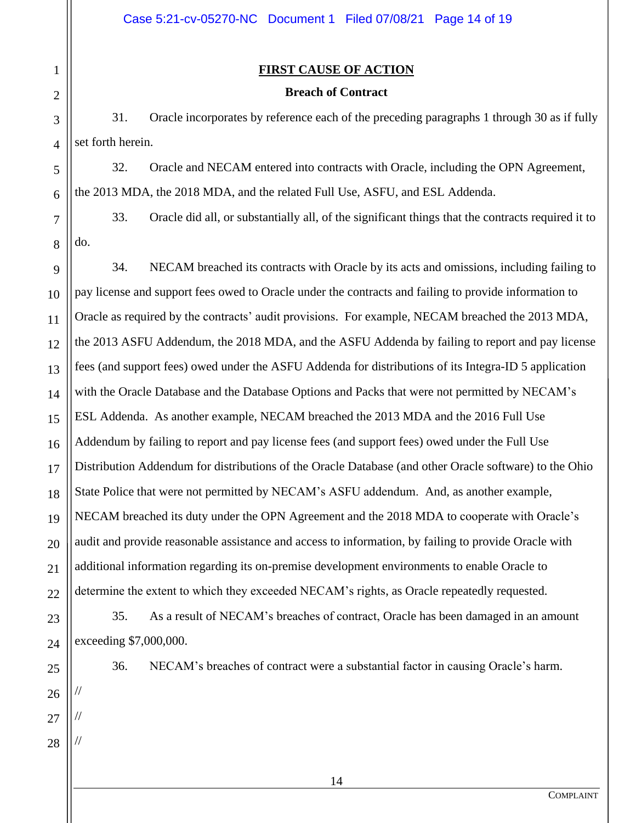### **FIRST CAUSE OF ACTION**

### **Breach of Contract**

31. Oracle incorporates by reference each of the preceding paragraphs 1 through 30 as if fully set forth herein.

32. Oracle and NECAM entered into contracts with Oracle, including the OPN Agreement, the 2013 MDA, the 2018 MDA, and the related Full Use, ASFU, and ESL Addenda.

7 8 33. Oracle did all, or substantially all, of the significant things that the contracts required it to do.

9 10 11 12 13 14 15 16 17 18 19 20 21 22 34. NECAM breached its contracts with Oracle by its acts and omissions, including failing to pay license and support fees owed to Oracle under the contracts and failing to provide information to Oracle as required by the contracts' audit provisions. For example, NECAM breached the 2013 MDA, the 2013 ASFU Addendum, the 2018 MDA, and the ASFU Addenda by failing to report and pay license fees (and support fees) owed under the ASFU Addenda for distributions of its Integra-ID 5 application with the Oracle Database and the Database Options and Packs that were not permitted by NECAM's ESL Addenda. As another example, NECAM breached the 2013 MDA and the 2016 Full Use Addendum by failing to report and pay license fees (and support fees) owed under the Full Use Distribution Addendum for distributions of the Oracle Database (and other Oracle software) to the Ohio State Police that were not permitted by NECAM's ASFU addendum. And, as another example, NECAM breached its duty under the OPN Agreement and the 2018 MDA to cooperate with Oracle's audit and provide reasonable assistance and access to information, by failing to provide Oracle with additional information regarding its on-premise development environments to enable Oracle to determine the extent to which they exceeded NECAM's rights, as Oracle repeatedly requested.

35. As a result of NECAM's breaches of contract, Oracle has been damaged in an amount exceeding \$7,000,000.

25

26

//

//

//

27

28

23

24

1

2

3

4

5

6

36. NECAM's breaches of contract were a substantial factor in causing Oracle's harm.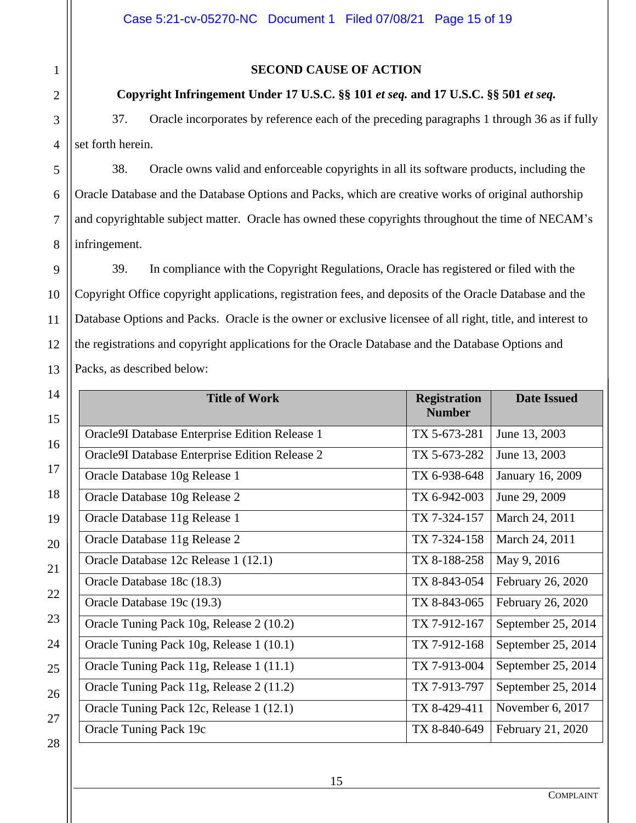### **SECOND CAUSE OF ACTION**

#### **Copyright Infringement Under 17 U.S.C. §§ 101** *et seq.* **and 17 U.S.C. §§ 501** *et seq.*

37. Oracle incorporates by reference each of the preceding paragraphs 1 through 36 as if fully set forth herein.

38. Oracle owns valid and enforceable copyrights in all its software products, including the Oracle Database and the Database Options and Packs, which are creative works of original authorship and copyrightable subject matter. Oracle has owned these copyrights throughout the time of NECAM's infringement.

39. In compliance with the Copyright Regulations, Oracle has registered or filed with the Copyright Office copyright applications, registration fees, and deposits of the Oracle Database and the Database Options and Packs. Oracle is the owner or exclusive licensee of all right, title, and interest to the registrations and copyright applications for the Oracle Database and the Database Options and Packs, as described below:

| l.                      | <b>Title of Work</b>                           | <b>Registration</b><br><b>Number</b> | <b>Date Issued</b> |
|-------------------------|------------------------------------------------|--------------------------------------|--------------------|
| $\tilde{5}$             | Oracle9I Database Enterprise Edition Release 1 | TX 5-673-281                         | June 13, 2003      |
|                         | Oracle9I Database Enterprise Edition Release 2 | TX 5-673-282                         | June 13, 2003      |
|                         | Oracle Database 10g Release 1                  | TX 6-938-648                         | January 16, 2009   |
| $\overline{\mathbf{S}}$ | Oracle Database 10g Release 2                  | TX 6-942-003                         | June 29, 2009      |
|                         | Oracle Database 11g Release 1                  | TX 7-324-157                         | March 24, 2011     |
|                         | Oracle Database 11g Release 2                  | TX 7-324-158                         | March 24, 2011     |
|                         | Oracle Database 12c Release 1 (12.1)           | TX 8-188-258                         | May 9, 2016        |
|                         | Oracle Database 18c (18.3)                     | TX 8-843-054                         | February 26, 2020  |
|                         | Oracle Database 19c (19.3)                     | TX 8-843-065                         | February 26, 2020  |
|                         | Oracle Tuning Pack 10g, Release 2 (10.2)       | TX 7-912-167                         | September 25, 2014 |
| į.                      | Oracle Tuning Pack 10g, Release 1 (10.1)       | TX 7-912-168                         | September 25, 2014 |
| ź                       | Oracle Tuning Pack 11g, Release 1 (11.1)       | TX 7-913-004                         | September 25, 2014 |
|                         | Oracle Tuning Pack 11g, Release 2 (11.2)       | TX 7-913-797                         | September 25, 2014 |
|                         | Oracle Tuning Pack 12c, Release 1 (12.1)       | TX 8-429-411                         | November 6, 2017   |
|                         | Oracle Tuning Pack 19c                         | TX 8-840-649                         | February 21, 2020  |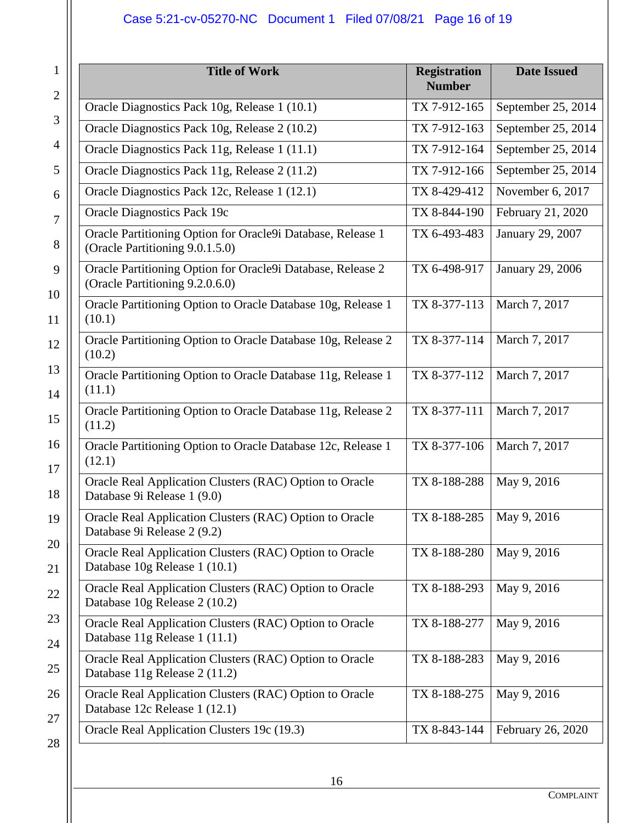# Case 5:21-cv-05270-NC Document 1 Filed 07/08/21 Page 16 of 19

| $\mathbf{1}$<br>$\overline{2}$ | <b>Title of Work</b>                                                                           | <b>Registration</b><br><b>Number</b> | <b>Date Issued</b> |
|--------------------------------|------------------------------------------------------------------------------------------------|--------------------------------------|--------------------|
|                                | Oracle Diagnostics Pack 10g, Release 1 (10.1)                                                  | TX 7-912-165                         | September 25, 2014 |
| 3                              | Oracle Diagnostics Pack 10g, Release 2 (10.2)                                                  | TX 7-912-163                         | September 25, 2014 |
| $\overline{4}$                 | Oracle Diagnostics Pack 11g, Release 1 (11.1)                                                  | TX 7-912-164                         | September 25, 2014 |
| 5                              | Oracle Diagnostics Pack 11g, Release 2 (11.2)                                                  | TX 7-912-166                         | September 25, 2014 |
| 6                              | Oracle Diagnostics Pack 12c, Release 1 (12.1)                                                  | TX 8-429-412                         | November 6, 2017   |
| 7                              | <b>Oracle Diagnostics Pack 19c</b>                                                             | TX 8-844-190                         | February 21, 2020  |
| 8                              | Oracle Partitioning Option for Oracle9i Database, Release 1<br>(Oracle Partitioning 9.0.1.5.0) | TX 6-493-483                         | January 29, 2007   |
| 9                              | Oracle Partitioning Option for Oracle9i Database, Release 2<br>(Oracle Partitioning 9.2.0.6.0) | TX 6-498-917                         | January 29, 2006   |
| 10<br>11                       | Oracle Partitioning Option to Oracle Database 10g, Release 1<br>(10.1)                         | TX 8-377-113                         | March 7, 2017      |
| 12                             | Oracle Partitioning Option to Oracle Database 10g, Release 2<br>(10.2)                         | TX 8-377-114                         | March 7, 2017      |
| 13<br>14                       | Oracle Partitioning Option to Oracle Database 11g, Release 1<br>(11.1)                         | TX 8-377-112                         | March 7, 2017      |
| 15                             | Oracle Partitioning Option to Oracle Database 11g, Release 2<br>(11.2)                         | TX 8-377-111                         | March 7, 2017      |
| 16<br>17                       | Oracle Partitioning Option to Oracle Database 12c, Release 1<br>(12.1)                         | TX 8-377-106                         | March 7, 2017      |
| 18                             | Oracle Real Application Clusters (RAC) Option to Oracle<br>Database 9i Release 1 (9.0)         | TX 8-188-288                         | May 9, 2016        |
| 19                             | Oracle Real Application Clusters (RAC) Option to Oracle<br>Database 9i Release 2 (9.2)         | TX 8-188-285                         | May 9, 2016        |
| 20<br>21                       | Oracle Real Application Clusters (RAC) Option to Oracle<br>Database 10g Release 1 (10.1)       | TX 8-188-280                         | May 9, 2016        |
| 22                             | Oracle Real Application Clusters (RAC) Option to Oracle<br>Database 10g Release 2 (10.2)       | TX 8-188-293                         | May 9, 2016        |
| 23<br>24                       | Oracle Real Application Clusters (RAC) Option to Oracle<br>Database 11g Release 1 (11.1)       | TX 8-188-277                         | May 9, 2016        |
| 25                             | Oracle Real Application Clusters (RAC) Option to Oracle<br>Database 11g Release 2 (11.2)       | TX 8-188-283                         | May 9, 2016        |
| 26                             | Oracle Real Application Clusters (RAC) Option to Oracle<br>Database 12c Release 1 (12.1)       | TX 8-188-275                         | May 9, 2016        |
| 27<br>28                       | Oracle Real Application Clusters 19c (19.3)                                                    | TX 8-843-144                         | February 26, 2020  |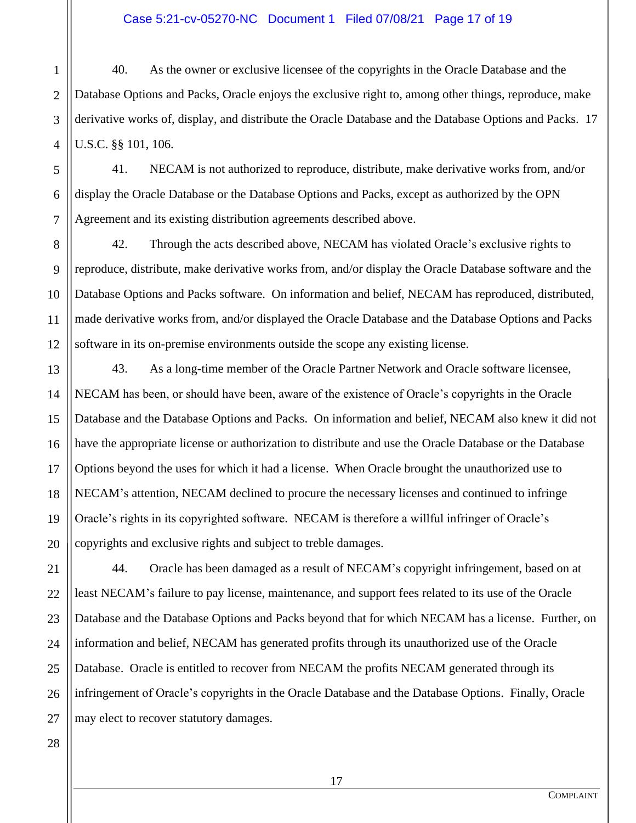1 2 3 4 40. As the owner or exclusive licensee of the copyrights in the Oracle Database and the Database Options and Packs, Oracle enjoys the exclusive right to, among other things, reproduce, make derivative works of, display, and distribute the Oracle Database and the Database Options and Packs. 17 U.S.C. §§ 101, 106.

5 6 41. NECAM is not authorized to reproduce, distribute, make derivative works from, and/or display the Oracle Database or the Database Options and Packs, except as authorized by the OPN Agreement and its existing distribution agreements described above.

8 9 10 11 12 42. Through the acts described above, NECAM has violated Oracle's exclusive rights to reproduce, distribute, make derivative works from, and/or display the Oracle Database software and the Database Options and Packs software. On information and belief, NECAM has reproduced, distributed, made derivative works from, and/or displayed the Oracle Database and the Database Options and Packs software in its on-premise environments outside the scope any existing license.

13 14 15 16 18 19 20 43. As a long-time member of the Oracle Partner Network and Oracle software licensee, NECAM has been, or should have been, aware of the existence of Oracle's copyrights in the Oracle Database and the Database Options and Packs. On information and belief, NECAM also knew it did not have the appropriate license or authorization to distribute and use the Oracle Database or the Database Options beyond the uses for which it had a license. When Oracle brought the unauthorized use to NECAM's attention, NECAM declined to procure the necessary licenses and continued to infringe Oracle's rights in its copyrighted software. NECAM is therefore a willful infringer of Oracle's copyrights and exclusive rights and subject to treble damages.

22 23 44. Oracle has been damaged as a result of NECAM's copyright infringement, based on at least NECAM's failure to pay license, maintenance, and support fees related to its use of the Oracle Database and the Database Options and Packs beyond that for which NECAM has a license. Further, on information and belief, NECAM has generated profits through its unauthorized use of the Oracle Database. Oracle is entitled to recover from NECAM the profits NECAM generated through its infringement of Oracle's copyrights in the Oracle Database and the Database Options. Finally, Oracle may elect to recover statutory damages.

17

21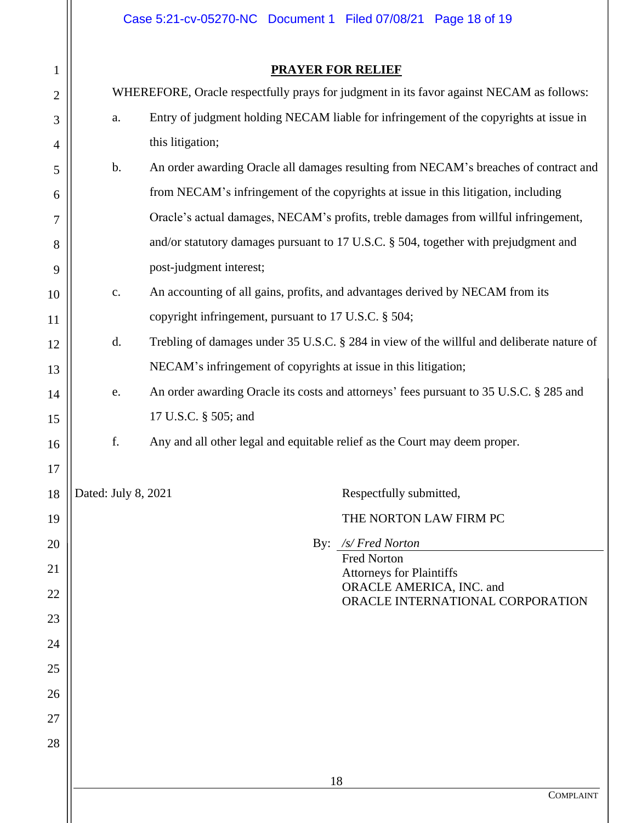Case 5:21-cv-05270-NC Document 1 Filed 07/08/21 Page 18 of 19

| $\mathbf{1}$             |              |
|--------------------------|--------------|
| $\overline{c}$           |              |
| 3                        |              |
| $\overline{\mathcal{L}}$ |              |
| 5                        |              |
| $\overline{6}$           |              |
| $\overline{7}$           |              |
| 8                        |              |
| 9                        |              |
| 10                       |              |
| 11                       |              |
| 12                       |              |
| 13                       |              |
| 14                       |              |
| 15                       |              |
| 16                       |              |
| 17                       |              |
| 18                       | <b>Pated</b> |
| 19                       |              |
| 20                       |              |
| 21                       |              |
| 22                       |              |
| 23                       |              |
| 24                       |              |
| 25                       |              |
| 26                       |              |
| 27                       |              |
| 28                       |              |
|                          |              |

# **PRAYER FOR RELIEF**

|                                                                                                                | WHEREFORE, Oracle respectfully prays for judgment in its favor against NECAM as follows: |                                                                                        |  |
|----------------------------------------------------------------------------------------------------------------|------------------------------------------------------------------------------------------|----------------------------------------------------------------------------------------|--|
|                                                                                                                | Entry of judgment holding NECAM liable for infringement of the copyrights at issue in    |                                                                                        |  |
|                                                                                                                |                                                                                          | this litigation;                                                                       |  |
|                                                                                                                | An order awarding Oracle all damages resulting from NECAM's breaches of contract and     |                                                                                        |  |
|                                                                                                                | from NECAM's infringement of the copyrights at issue in this litigation, including       |                                                                                        |  |
|                                                                                                                | Oracle's actual damages, NECAM's profits, treble damages from willful infringement,      |                                                                                        |  |
|                                                                                                                | and/or statutory damages pursuant to 17 U.S.C. § 504, together with prejudgment and      |                                                                                        |  |
| post-judgment interest;                                                                                        |                                                                                          |                                                                                        |  |
| An accounting of all gains, profits, and advantages derived by NECAM from its<br>$\mathbf{c}$ .                |                                                                                          |                                                                                        |  |
| copyright infringement, pursuant to 17 U.S.C. § 504;                                                           |                                                                                          |                                                                                        |  |
| Trebling of damages under 35 U.S.C. § 284 in view of the willful and deliberate nature of<br>d.                |                                                                                          |                                                                                        |  |
| NECAM's infringement of copyrights at issue in this litigation;                                                |                                                                                          |                                                                                        |  |
| e.<br>17 U.S.C. § 505; and<br>f.<br>Any and all other legal and equitable relief as the Court may deem proper. |                                                                                          | An order awarding Oracle its costs and attorneys' fees pursuant to 35 U.S.C. § 285 and |  |
|                                                                                                                |                                                                                          |                                                                                        |  |
|                                                                                                                |                                                                                          |                                                                                        |  |
|                                                                                                                |                                                                                          |                                                                                        |  |
|                                                                                                                | Dated: July 8, 2021                                                                      | Respectfully submitted,                                                                |  |
|                                                                                                                |                                                                                          | THE NORTON LAW FIRM PC                                                                 |  |
|                                                                                                                |                                                                                          | By: /s/ Fred Norton                                                                    |  |
|                                                                                                                |                                                                                          | <b>Fred Norton</b><br><b>Attorneys for Plaintiffs</b>                                  |  |
|                                                                                                                |                                                                                          | ORACLE AMERICA, INC. and                                                               |  |
|                                                                                                                |                                                                                          | ORACLE INTERNATIONAL CORPORATION                                                       |  |
|                                                                                                                |                                                                                          |                                                                                        |  |